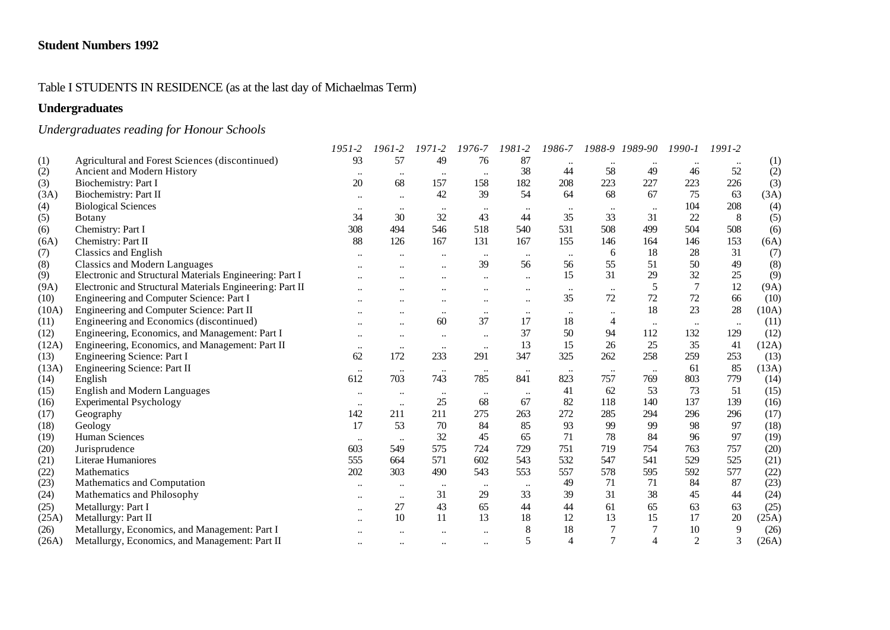#### Table I STUDENTS IN RESIDENCE (as at the last day of Michaelmas Term)

# **Undergraduates**

# *Undergraduates reading for Honour Schools*

|       |                                                          | $1951 - 2$           | 1961-2                    | $1971 - 2$           | 1976-7    | 1981-2    | 1986-7       |                | 1988-9 1989-90 | $1990 - 1$     | $1991-2$  |       |
|-------|----------------------------------------------------------|----------------------|---------------------------|----------------------|-----------|-----------|--------------|----------------|----------------|----------------|-----------|-------|
| (1)   | Agricultural and Forest Sciences (discontinued)          | 93                   | 57                        | 49                   | 76        | 87        |              |                |                |                |           | (1)   |
| (2)   | Ancient and Modern History                               |                      | $\ddotsc$                 | $\cdots$             | $\ldots$  | 38        | 44           | 58             | 49             | 46             | 52        | (2)   |
| (3)   | Biochemistry: Part I                                     | 20                   | 68                        | 157                  | 158       | 182       | 208          | 223            | 227            | 223            | 226       | (3)   |
| (3A)  | Biochemistry: Part II                                    | $\ddotsc$            | $\ddotsc$                 | 42                   | 39        | 54        | 64           | 68             | 67             | 75             | 63        | (3A)  |
| (4)   | <b>Biological Sciences</b>                               |                      |                           |                      | $\ddotsc$ |           |              |                |                | 104            | 208       | (4)   |
| (5)   | <b>Botany</b>                                            | 34                   | 30                        | 32                   | 43        | 44        | 35           | 33             | 31             | 22             | 8         | (5)   |
| (6)   | Chemistry: Part I                                        | 308                  | 494                       | 546                  | 518       | 540       | 531          | 508            | 499            | 504            | 508       | (6)   |
| (6A)  | Chemistry: Part II                                       | 88                   | 126                       | 167                  | 131       | 167       | 155          | 146            | 164            | 146            | 153       | (6A)  |
| (7)   | Classics and English                                     |                      |                           | $\ldots$             | $\ldots$  | $\ddotsc$ | $\cdot\cdot$ | 6              | 18             | 28             | 31        | (7)   |
| (8)   | <b>Classics and Modern Languages</b>                     |                      |                           |                      | 39        | 56        | 56           | 55             | 51             | 50             | 49        | (8)   |
| (9)   | Electronic and Structural Materials Engineering: Part I  |                      |                           |                      | $\ddotsc$ | $\ddotsc$ | 15           | 31             | 29             | 32             | 25        | (9)   |
| (9A)  | Electronic and Structural Materials Engineering: Part II |                      |                           |                      |           |           | $\ldots$     |                | 5              | $\overline{7}$ | 12        | (9A)  |
| (10)  | Engineering and Computer Science: Part I                 |                      |                           |                      | $\ddotsc$ | $\ddotsc$ | 35           | 72             | 72             | 72             | 66        | (10)  |
| (10A) | Engineering and Computer Science: Part II                |                      |                           | $\ddotsc$            | $\ddotsc$ | $\ddotsc$ | $\cdot\cdot$ |                | 18             | 23             | 28        | (10A) |
| (11)  | Engineering and Economics (discontinued)                 |                      | $\ddot{\phantom{a}}$      | 60                   | 37        | 17        | 18           | 4              | $\ddotsc$      | $\ddotsc$      | $\ddotsc$ | (11)  |
| (12)  | Engineering, Economics, and Management: Part I           |                      | $\ddot{\phantom{0}}\cdot$ | $\ldots$             | $\ddotsc$ | 37        | 50           | 94             | 112            | 132            | 129       | (12)  |
| (12A) | Engineering, Economics, and Management: Part II          | $\ddotsc$            | $\ddotsc$                 | $\ddotsc$            | $\ddotsc$ | 13        | 15           | 26             | 25             | 35             | 41        | (12A) |
| (13)  | Engineering Science: Part I                              | 62                   | 172                       | 233                  | 291       | 347       | 325          | 262            | 258            | 259            | 253       | (13)  |
| (13A) | Engineering Science: Part II                             | $\ddotsc$            | $\ddotsc$                 | $\ddotsc$            | $\ddotsc$ | $\ldots$  | $\ldots$     | $\ddotsc$      |                | 61             | 85        | (13A) |
| (14)  | English                                                  | 612                  | 703                       | 743                  | 785       | 841       | 823          | 757            | 769            | 803            | 779       | (14)  |
| (15)  | <b>English and Modern Languages</b>                      | $\ddotsc$            | $\ddotsc$                 | $\cdots$             | $\ldots$  | $\ldots$  | 41           | 62             | 53             | 73             | 51        | (15)  |
| (16)  | <b>Experimental Psychology</b>                           | $\ddotsc$            | $\ddotsc$                 | 25                   | 68        | 67        | 82           | 118            | 140            | 137            | 139       | (16)  |
| (17)  | Geography                                                | 142                  | 211                       | 211                  | 275       | 263       | 272          | 285            | 294            | 296            | 296       | (17)  |
| (18)  | Geology                                                  | 17                   | 53                        | $70\,$               | 84        | 85        | 93           | 99             | 99             | 98             | 97        | (18)  |
| (19)  | Human Sciences                                           | $\ddotsc$            |                           | 32                   | 45        | 65        | 71           | 78             | 84             | 96             | 97        | (19)  |
| (20)  | Jurisprudence                                            | 603                  | 549                       | 575                  | 724       | 729       | 751          | 719            | 754            | 763            | 757       | (20)  |
| (21)  | Literae Humaniores                                       | 555                  | 664                       | 571                  | 602       | 543       | 532          | 547            | 541            | 529            | 525       | (21)  |
| (22)  | <b>Mathematics</b>                                       | 202                  | 303                       | 490                  | 543       | 553       | 557          | 578            | 595            | 592            | 577       | (22)  |
| (23)  | Mathematics and Computation                              | $\ddot{\phantom{a}}$ | $\ddot{\phantom{0}}$      | $\cdots$             | $\cdots$  | $\ldots$  | 49           | 71             | 71             | 84             | 87        | (23)  |
| (24)  | Mathematics and Philosophy                               | $\ddotsc$            | $\ddotsc$                 | 31                   | 29        | 33        | 39           | 31             | 38             | 45             | 44        | (24)  |
| (25)  | Metallurgy: Part I                                       | $\ddotsc$            | 27                        | 43                   | 65        | 44        | 44           | 61             | 65             | 63             | 63        | (25)  |
| (25A) | Metallurgy: Part II                                      |                      | 10                        | 11                   | 13        | 18        | 12           | 13             | 15             | 17             | 20        | (25A) |
| (26)  | Metallurgy, Economics, and Management: Part I            |                      |                           |                      | $\ddotsc$ |           | 18           |                |                | 10             | 9         | (26)  |
| (26A) | Metallurgy, Economics, and Management: Part II           | $\ddot{\phantom{0}}$ |                           | $\ddot{\phantom{0}}$ | $\ddotsc$ | 5         | 4            | $\overline{7}$ | 4              | $\overline{2}$ | 3         | (26A) |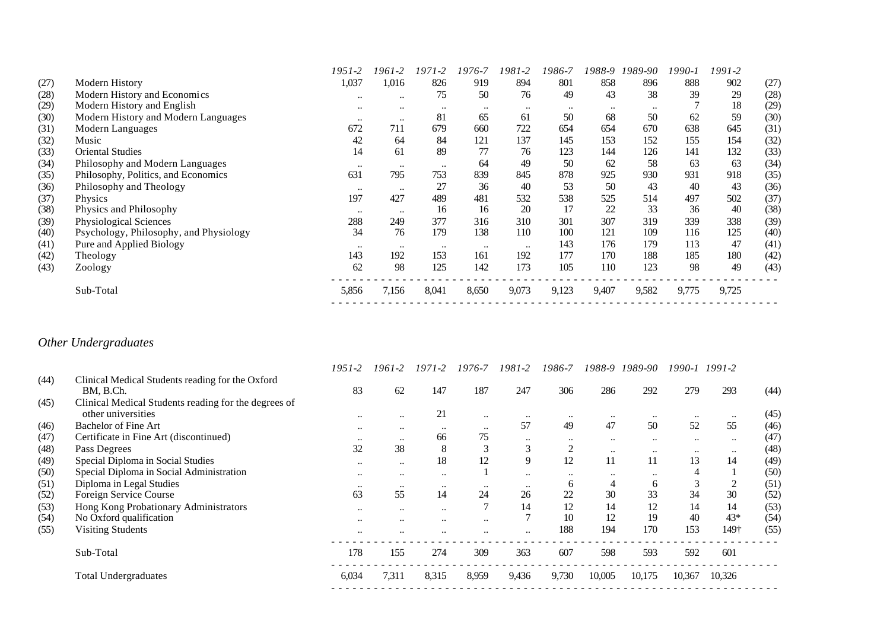|      |                                        | 1951-2        | 1961-2           | 1971-2    | 1976-7    | 1981-2    | 1986-7    | 1988-9    | 1989-90   | 1990-1 | 1991-2 |      |
|------|----------------------------------------|---------------|------------------|-----------|-----------|-----------|-----------|-----------|-----------|--------|--------|------|
| (27) | <b>Modern History</b>                  | 1,037         | 1,016            | 826       | 919       | 894       | 801       | 858       | 896       | 888    | 902    | (27) |
| (28) | Modern History and Economics           | $\ddotsc$     | $\ddotsc$        | 75        | 50        | 76        | 49        | 43        | 38        | 39     | 29     | (28) |
| (29) | Modern History and English             | $\ddotsc$     | $\ddotsc$        | $\ddotsc$ | $\ddotsc$ | $\ddotsc$ | $\ddotsc$ | $\ddotsc$ | $\ddotsc$ |        | 18     | (29) |
| (30) | Modern History and Modern Languages    | $\ddotsc$     | $\bullet\bullet$ | 81        | 65        | 61        | 50        | 68        | 50        | 62     | 59     | (30) |
| (31) | Modern Languages                       | 672           | 711              | 679       | 660       | 722       | 654       | 654       | 670       | 638    | 645    | (31) |
| (32) | Music                                  | 42            | 64               | 84        | 121       | 137       | 145       | 153       | 152       | 155    | 154    | (32) |
| (33) | <b>Oriental Studies</b>                | 14            | 61               | 89        | 77        | 76        | 123       | 144       | 126       | 141    | 132    | (33) |
| (34) | Philosophy and Modern Languages        | $\ddotsc$     | $\ddotsc$        | $\ddotsc$ | 64        | 49        | 50        | 62        | 58        | 63     | 63     | (34) |
| (35) | Philosophy, Politics, and Economics    | 631           | 795              | 753       | 839       | 845       | 878       | 925       | 930       | 931    | 918    | (35) |
| (36) | Philosophy and Theology                | $\cdot \cdot$ | $\ddotsc$        | 27        | 36        | 40        | 53        | 50        | 43        | 40     | 43     | (36) |
| (37) | Physics                                | 197           | 427              | 489       | 481       | 532       | 538       | 525       | 514       | 497    | 502    | (37) |
| (38) | Physics and Philosophy                 | $\ddotsc$     | $\ddotsc$        | 16        | 16        | 20        | 17        | 22        | 33        | 36     | 40     | (38) |
| (39) | Physiological Sciences                 | 288           | 249              | 377       | 316       | 310       | 301       | 307       | 319       | 339    | 338    | (39) |
| (40) | Psychology, Philosophy, and Physiology | 34            | 76               | 179       | 138       | 110       | 100       | 121       | 109       | 116    | 125    | (40) |
| (41) | Pure and Applied Biology               | $\ddotsc$     | $\ddotsc$        | $\ddotsc$ | $\ddotsc$ | $\ddotsc$ | 143       | 176       | 179       | 113    | 47     | (41) |
| (42) | Theology                               | 143           | 192              | 153       | 161       | 192       | 177       | 170       | 188       | 185    | 180    | (42) |
| (43) | Zoology                                | 62            | 98               | 125       | 142       | 173       | 105       | 110       | 123       | 98     | 49     | (43) |
|      | Sub-Total                              | 5,856         | 7,156            | 8,041     | 8,650     | 9,073     | 9,123     | 9,407     | 9,582     | 9,775  | 9,725  |      |
|      |                                        |               |                  |           |           |           |           |           |           |        |        |      |

# *Other Undergraduates*

|      |                                                               | $1951 - 2$ | 1961-2    | $1971 - 2$           | 1976-7               | 1981-2    | 1986-7       | 1988-9    | 1989-90   |           | 1990-1 1991-2 |      |
|------|---------------------------------------------------------------|------------|-----------|----------------------|----------------------|-----------|--------------|-----------|-----------|-----------|---------------|------|
| (44) | Clinical Medical Students reading for the Oxford<br>BM, B.Ch. | 83         | 62        | 147                  | 187                  | 247       | 306          | 286       | 292       | 279       | 293           | (44) |
| (45) | Clinical Medical Students reading for the degrees of          |            |           |                      |                      |           |              |           |           |           |               |      |
|      | other universities                                            | $\ddotsc$  | $\ddotsc$ | 21                   | $\ddot{\phantom{0}}$ |           | $\ddotsc$    | $\ddotsc$ | $\ddotsc$ | $\ddotsc$ | $\ddotsc$     | (45) |
| (46) | <b>Bachelor of Fine Art</b>                                   | $\ddotsc$  | $\ddotsc$ | $\ddot{\phantom{0}}$ | $\ddot{\phantom{0}}$ | 57        | 49           | 47        | 50        | 52        | 55            | (46) |
| (47) | Certificate in Fine Art (discontinued)                        | $\ddotsc$  | $\ddotsc$ | 66                   | 75                   | $\ddotsc$ | $\ddotsc$    | $\ddotsc$ | $\ddotsc$ | $\ddotsc$ | $\ddotsc$     | (47) |
| (48) | Pass Degrees                                                  | 32         | 38        | 8                    |                      |           |              | $\ddotsc$ | $\ddotsc$ | $\ddotsc$ | $\ddotsc$     | (48) |
| (49) | Special Diploma in Social Studies                             | $\ddotsc$  | $\ddotsc$ | 18                   | 12                   | 9         | 12           | 11        | 11        | 13        | 14            | (49) |
| (50) | Special Diploma in Social Administration                      | $\ddotsc$  | $\ddotsc$ | $\ddot{\phantom{0}}$ |                      |           |              |           | $\ddotsc$ |           |               | (50) |
| (51) | Diploma in Legal Studies                                      | $\ddotsc$  | $\ddotsc$ | $\ddot{\phantom{0}}$ |                      | $\ddotsc$ | <sub>0</sub> | 4         | 6         |           |               | (51) |
| (52) | Foreign Service Course                                        | 63         | 55        | 14                   | 24                   | 26        | 22           | 30        | 33        | 34        | 30            | (52) |
| (53) | Hong Kong Probationary Administrators                         | $\ddotsc$  | $\ddotsc$ | $\ddot{\phantom{a}}$ |                      | 14        | 12           | 14        | 12        | 14        | 14            | (53) |
| (54) | No Oxford qualification                                       | $\ddotsc$  | $\ddotsc$ | $\ddot{\phantom{a}}$ | $\ddot{\phantom{0}}$ |           | 10           | 12        | 19        | 40        | $43*$         | (54) |
| (55) | <b>Visiting Students</b>                                      | $\cdot$ .  |           |                      |                      |           | 188          | 194       | 170       | 153       | 149†          | (55) |
|      | Sub-Total                                                     | 178        | 155       | 274                  | 309                  | 363       | 607          | 598       | 593       | 592       | 601           |      |
|      | <b>Total Undergraduates</b>                                   | 6,034      | 7.311     | 8,315                | 8,959                | 9,436     | 9,730        | 10,005    | 10,175    | 10,367    | 10,326        |      |
|      |                                                               |            |           |                      |                      |           |              |           |           |           |               |      |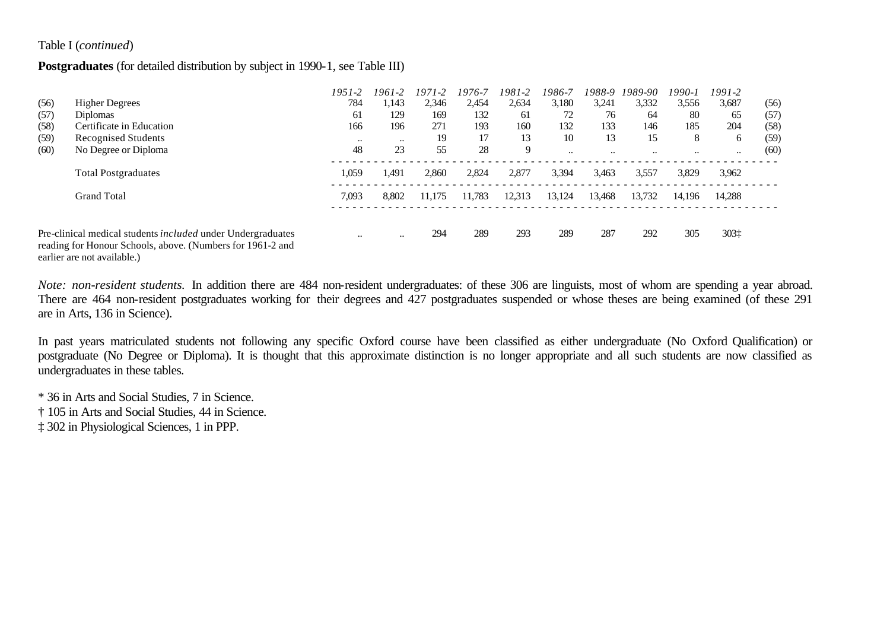#### Table I (*continued*)

#### **Postgraduates** (for detailed distribution by subject in 1990-1, see Table III)

|      |                                                                                                                                                          | $1951 - 2$           | 1961-2    | $1971 - 2$ | 1976-7 | 1981-2 | 1986-7    | 1988-9    | 1989-90   | 1990-1    | 1991-2   |      |
|------|----------------------------------------------------------------------------------------------------------------------------------------------------------|----------------------|-----------|------------|--------|--------|-----------|-----------|-----------|-----------|----------|------|
| (56) | <b>Higher Degrees</b>                                                                                                                                    | 784                  | 1,143     | 2,346      | 2,454  | 2,634  | 3,180     | 3,241     | 3,332     | 3,556     | 3,687    | (56) |
| (57) | <b>Diplomas</b>                                                                                                                                          | 61                   | 129       | 169        | 132    | 61     | 72        | 76        | 64        | 80        | 65       | (57) |
| (58) | Certificate in Education                                                                                                                                 | 166                  | 196       | 271        | 193    | 160    | 132       | 133       | 146       | 185       | 204      | (58) |
| (59) | <b>Recognised Students</b>                                                                                                                               | $\ddotsc$            | $\ddotsc$ | 19         | 17     | 13     | 10        | 13        | 15        | 8         | 6        | (59) |
| (60) | No Degree or Diploma                                                                                                                                     | 48                   | 23        | 55         | 28     | 9      | $\ddotsc$ | $\ddotsc$ | $\ddotsc$ | $\ddotsc$ | $\cdots$ | (60) |
|      | <b>Total Postgraduates</b>                                                                                                                               | 1,059                | 1.491     | 2,860      | 2,824  | 2,877  | 3,394     | 3,463     | 3,557     | 3,829     | 3,962    |      |
|      | <b>Grand Total</b>                                                                                                                                       | 7,093                | 8,802     | 11.175     | 11.783 | 12,313 | 13,124    | 13,468    | 13,732    | 14.196    | 14.288   |      |
|      |                                                                                                                                                          |                      |           |            |        |        |           |           |           |           |          |      |
|      | Pre-clinical medical students included under Undergraduates<br>reading for Honour Schools, above. (Numbers for 1961-2 and<br>earlier are not available.) | $\ddot{\phantom{0}}$ | $\ddotsc$ | 294        | 289    | 293    | 289       | 287       | 292       | 305       | 303‡     |      |

*Note: non-resident students.* In addition there are 484 non-resident undergraduates: of these 306 are linguists, most of whom are spending a year abroad. There are 464 non-resident postgraduates working for their degrees and 427 postgraduates suspended or whose theses are being examined (of these 291 are in Arts, 136 in Science).

In past years matriculated students not following any specific Oxford course have been classified as either undergraduate (No Oxford Qualification) or postgraduate (No Degree or Diploma). It is thought that this approximate distinction is no longer appropriate and all such students are now classified as undergraduates in these tables.

\* 36 in Arts and Social Studies, 7 in Science.

† 105 in Arts and Social Studies, 44 in Science.

‡ 302 in Physiological Sciences, 1 in PPP.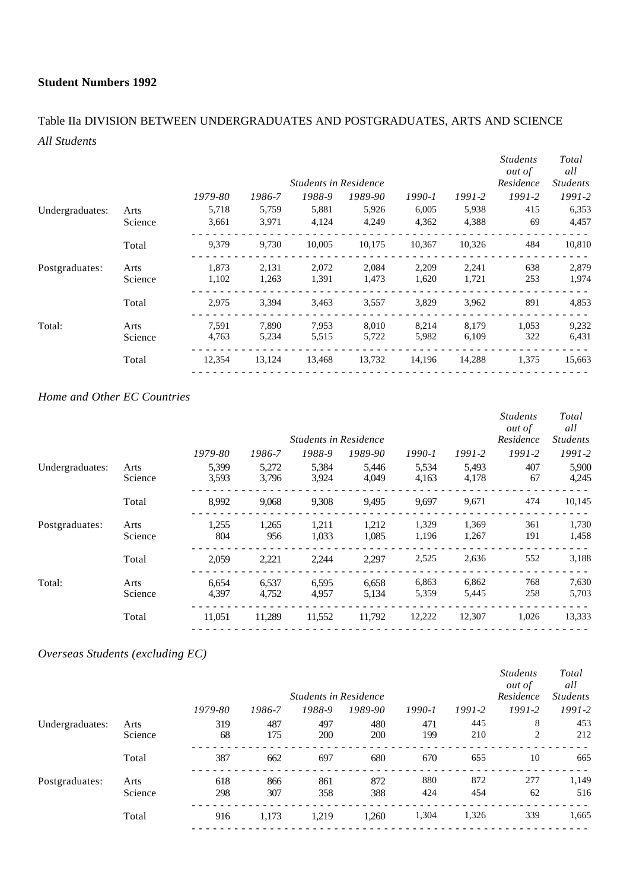# Table IIa DIVISION BETWEEN UNDERGRADUATES AND POSTGRADUATES, ARTS AND SCIENCE *All Students*

|                 |         |         |        | <b>Students in Residence</b> |         |        |            | <i>Students</i><br>out of<br>Residence | Total<br>all<br><i>Students</i> |
|-----------------|---------|---------|--------|------------------------------|---------|--------|------------|----------------------------------------|---------------------------------|
|                 |         | 1979-80 | 1986-7 | 1988-9                       | 1989-90 | 1990-1 | $1991 - 2$ | $1991 - 2$                             | $1991 - 2$                      |
| Undergraduates: | Arts    | 5,718   | 5,759  | 5,881                        | 5,926   | 6,005  | 5,938      | 415                                    | 6,353                           |
|                 | Science | 3,661   | 3,971  | 4,124                        | 4.249   | 4,362  | 4,388      | 69                                     | 4,457                           |
|                 | Total   | 9,379   | 9,730  | 10,005                       | 10,175  | 10,367 | 10,326     | 484                                    | 10,810                          |
| Postgraduates:  | Arts    | 1,873   | 2,131  | 2,072                        | 2,084   | 2,209  | 2,241      | 638                                    | 2,879                           |
|                 | Science | 1,102   | 1,263  | 1,391                        | 1,473   | 1,620  | 1,721      | 253                                    | 1,974                           |
|                 | Total   | 2,975   | 3,394  | 3,463                        | 3,557   | 3,829  | 3,962      | 891                                    | 4,853                           |
| Total:          | Arts    | 7,591   | 7,890  | 7,953                        | 8,010   | 8,214  | 8,179      | 1,053                                  | 9,232                           |
|                 | Science | 4,763   | 5,234  | 5,515                        | 5,722   | 5,982  | 6,109      | 322                                    | 6,431                           |
|                 | Total   | 12,354  | 13,124 | 13,468                       | 13,732  | 14,196 | 14,288     | 1,375                                  | 15,663                          |
|                 |         |         |        |                              |         |        |            |                                        |                                 |

## *Home and Other EC Countries*

|                 |                 |                |                | <b>Students in Residence</b> |                |                |                | <i>Students</i><br><i>out of</i><br>Residence | Total<br>all<br><i>Students</i> |
|-----------------|-----------------|----------------|----------------|------------------------------|----------------|----------------|----------------|-----------------------------------------------|---------------------------------|
|                 |                 | 1979-80        | 1986-7         | 1988-9                       | 1989-90        | $1990 - 1$     | $1991 - 2$     | $1991 - 2$                                    | $1991 - 2$                      |
| Undergraduates: | Arts<br>Science | 5,399<br>3,593 | 5,272<br>3.796 | 5,384<br>3,924               | 5,446<br>4,049 | 5,534<br>4,163 | 5,493<br>4,178 | 407<br>67                                     | 5,900<br>4,245                  |
|                 | Total           | 8,992          | 9.068          | 9,308                        | 9.495          | 9.697          | 9,671          | 474                                           | 10,145                          |
| Postgraduates:  | Arts<br>Science | 1,255<br>804   | 1,265<br>956   | 1,211<br>1,033               | 1,212<br>1,085 | 1,329<br>1,196 | 1,369<br>1,267 | 361<br>191                                    | 1,730<br>1,458                  |
|                 | Total           | 2,059          | 2,221          | 2,244                        | 2,297          | 2,525          | 2,636          | 552                                           | 3,188                           |
| Total:          | Arts<br>Science | 6,654<br>4,397 | 6,537<br>4,752 | 6,595<br>4,957               | 6,658<br>5,134 | 6,863<br>5,359 | 6,862<br>5,445 | 768<br>258                                    | 7,630<br>5,703                  |
|                 | Total           | 11,051         | 11,289         | 11,552                       | 11,792         | 12,222         | 12,307         | 1,026                                         | 13,333                          |

## *Overseas Students (excluding EC)*

|                 |         |         |        |                              |            |            |            | <b>Students</b><br><i>out of</i> | Total<br>all    |
|-----------------|---------|---------|--------|------------------------------|------------|------------|------------|----------------------------------|-----------------|
|                 |         |         |        | <b>Students in Residence</b> |            |            |            | Residence                        | <b>Students</b> |
|                 |         | 1979-80 | 1986-7 | 1988-9                       | 1989-90    | $1990 - 1$ | $1991 - 2$ | $1991 - 2$                       | $1991 - 2$      |
| Undergraduates: | Arts    | 319     | 487    | 497                          | 480        | 471        | 445        | 8                                | 453             |
|                 | Science | 68      | 175    | 200                          | <b>200</b> | 199        | 210        | 2                                | 212             |
|                 | Total   | 387     | 662    | 697                          | 680        | 670        | 655        | 10                               | 665             |
| Postgraduates:  | Arts    | 618     | 866    | 861                          | 872        | 880        | 872        | 277                              | 1,149           |
|                 | Science | 298     | 307    | 358                          | 388        | 424        | 454        | 62                               | 516             |
|                 | Total   | 916     | 1,173  | 1.219                        | 1,260      | 1,304      | 1,326      | 339                              | 1,665           |
|                 |         |         |        |                              |            |            |            |                                  |                 |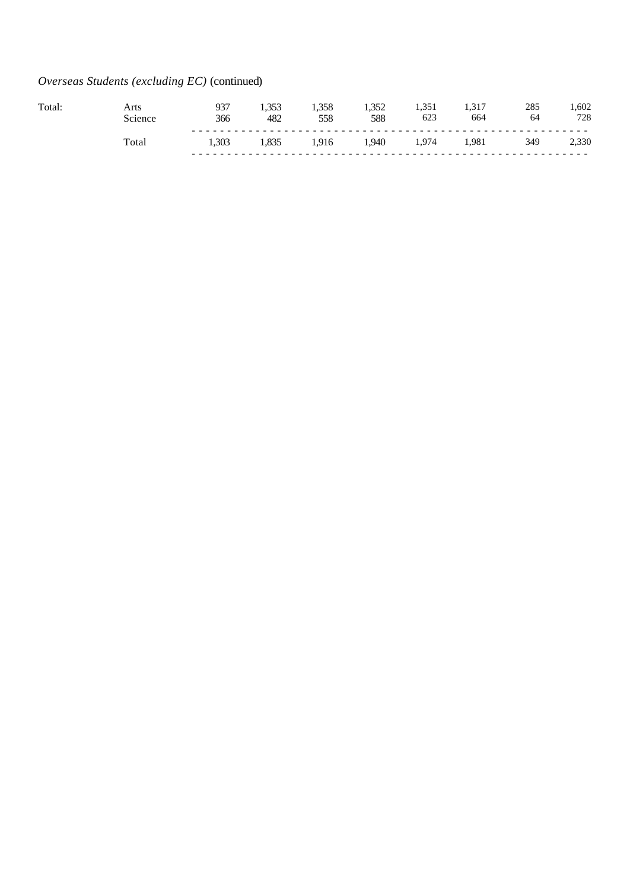# *Overseas Students (excluding EC)* (continued)

| Total | vrts<br>Science | กวร<br>ر ر<br>366 | .<br>482      | 1.358<br>558 | <br>588 | 623 | 1.J 1<br>664 | 285<br>64 | .602<br>728  |
|-------|-----------------|-------------------|---------------|--------------|---------|-----|--------------|-----------|--------------|
|       | Fotal           | 1.303             | 1,0 <i>00</i> | .916         | 1.940   | 974 | 981,ا        | 349       | 2,330<br>- - |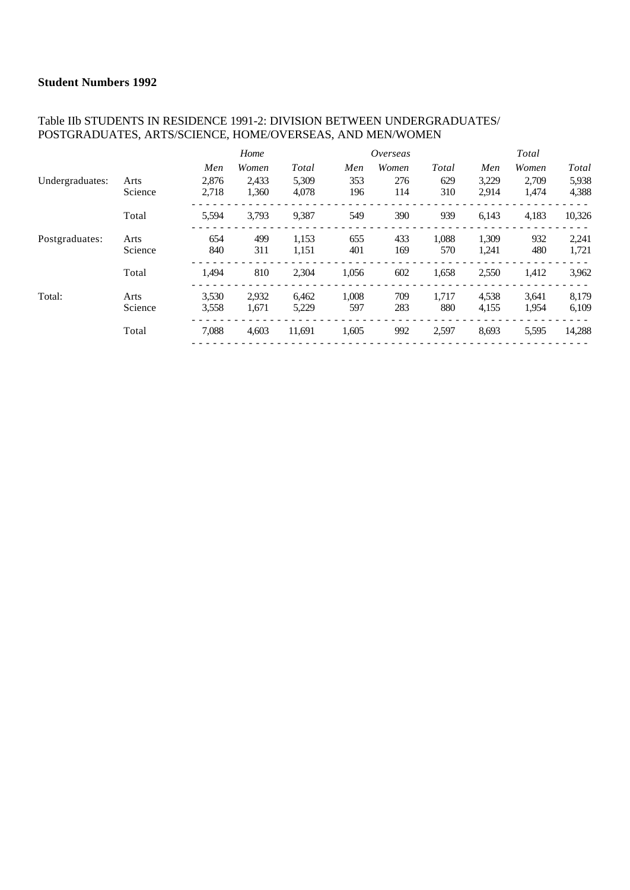#### Table IIb STUDENTS IN RESIDENCE 1991-2: DIVISION BETWEEN UNDERGRADUATES/ POSTGRADUATES, ARTS/SCIENCE, HOME/OVERSEAS, AND MEN/WOMEN

|                 |         |       | Home  |        |       | Overseas |       |       | Total |        |
|-----------------|---------|-------|-------|--------|-------|----------|-------|-------|-------|--------|
|                 |         | Men   | Women | Total  | Men   | Women    | Total | Men   | Women | Total  |
| Undergraduates: | Arts    | 2.876 | 2.433 | 5.309  | 353   | 276      | 629   | 3,229 | 2,709 | 5,938  |
|                 | Science | 2,718 | 1,360 | 4.078  | 196   | 114      | 310   | 2,914 | 1,474 | 4,388  |
|                 | Total   | 5,594 | 3,793 | 9,387  | 549   | 390      | 939   | 6,143 | 4,183 | 10,326 |
| Postgraduates:  | Arts    | 654   | 499   | 1,153  | 655   | 433      | 1,088 | 1,309 | 932   | 2,241  |
|                 | Science | 840   | 311   | 1,151  | 401   | 169      | 570   | 1,241 | 480   | 1,721  |
|                 | Total   | 1,494 | 810   | 2,304  | 1,056 | 602      | 1,658 | 2,550 | 1,412 | 3,962  |
| Total:          | Arts    | 3,530 | 2,932 | 6,462  | 1,008 | 709      | 1,717 | 4,538 | 3,641 | 8,179  |
|                 | Science | 3,558 | 1,671 | 5,229  | 597   | 283      | 880   | 4,155 | 1,954 | 6,109  |
|                 | Total   | 7,088 | 4,603 | 11,691 | 1,605 | 992      | 2,597 | 8,693 | 5,595 | 14,288 |
|                 |         |       |       |        |       |          |       |       |       |        |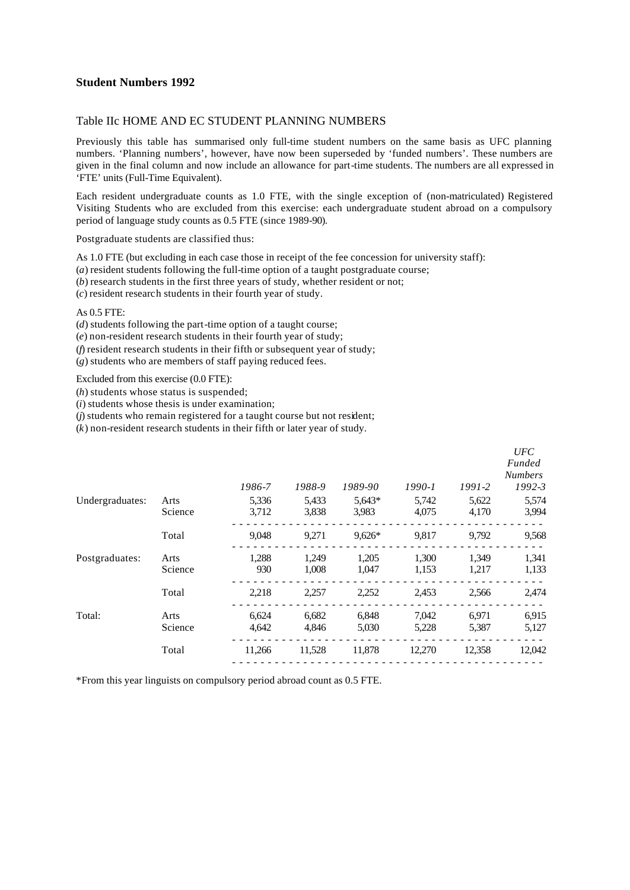#### Table IIc HOME AND EC STUDENT PLANNING NUMBERS

Previously this table has summarised only full-time student numbers on the same basis as UFC planning numbers. 'Planning numbers', however, have now been superseded by 'funded numbers'. These numbers are given in the final column and now include an allowance for part-time students. The numbers are all expressed in 'FTE' units (Full-Time Equivalent).

Each resident undergraduate counts as 1.0 FTE, with the single exception of (non-matriculated) Registered Visiting Students who are excluded from this exercise: each undergraduate student abroad on a compulsory period of language study counts as 0.5 FTE (since 1989-90).

Postgraduate students are classified thus:

As 1.0 FTE (but excluding in each case those in receipt of the fee concession for university staff):

(*a*) resident students following the full-time option of a taught postgraduate course;

(*b*) research students in the first three years of study, whether resident or not;

(*c*) resident research students in their fourth year of study.

#### As 0.5 FTE:

(*d*) students following the part-time option of a taught course;

(*e*) non-resident research students in their fourth year of study;

(*f*) resident research students in their fifth or subsequent year of study;

(*g*) students who are members of staff paying reduced fees.

Excluded from this exercise (0.0 FTE):

(*h*) students whose status is suspended;

(*i*) students whose thesis is under examination;

(*j*) students who remain registered for a taught course but not resident;

(*k*) non-resident research students in their fifth or later year of study.

|                 |                 |                |                |                   |                |                | <b>UFC</b><br><b>Funded</b><br><b>Numbers</b> |
|-----------------|-----------------|----------------|----------------|-------------------|----------------|----------------|-----------------------------------------------|
|                 |                 | 1986-7         | 1988-9         | 1989-90           | $1990 - 1$     | $1991 - 2$     | $1992 - 3$                                    |
| Undergraduates: | Arts<br>Science | 5.336<br>3,712 | 5,433<br>3,838 | $5.643*$<br>3.983 | 5.742<br>4,075 | 5,622<br>4,170 | 5,574<br>3,994                                |
|                 | Total           | 9,048          | 9,271          | $9,626*$          | 9,817          | 9,792          | 9,568                                         |
| Postgraduates:  | Arts<br>Science | 1,288<br>930   | 1,249<br>1,008 | 1,205<br>1,047    | 1,300<br>1,153 | 1,349<br>1,217 | 1,341<br>1,133                                |
|                 | Total           | 2,218          | 2,257          | 2,252             | 2,453          | 2,566          | 2,474                                         |
| Total:          | Arts<br>Science | 6,624<br>4,642 | 6,682<br>4,846 | 6,848<br>5,030    | 7,042<br>5,228 | 6,971<br>5,387 | 6,915<br>5,127                                |
|                 | Total           | 11,266         | 11,528         | 11,878            | 12,270         | 12,358         | 12,042                                        |

\*From this year linguists on compulsory period abroad count as 0.5 FTE.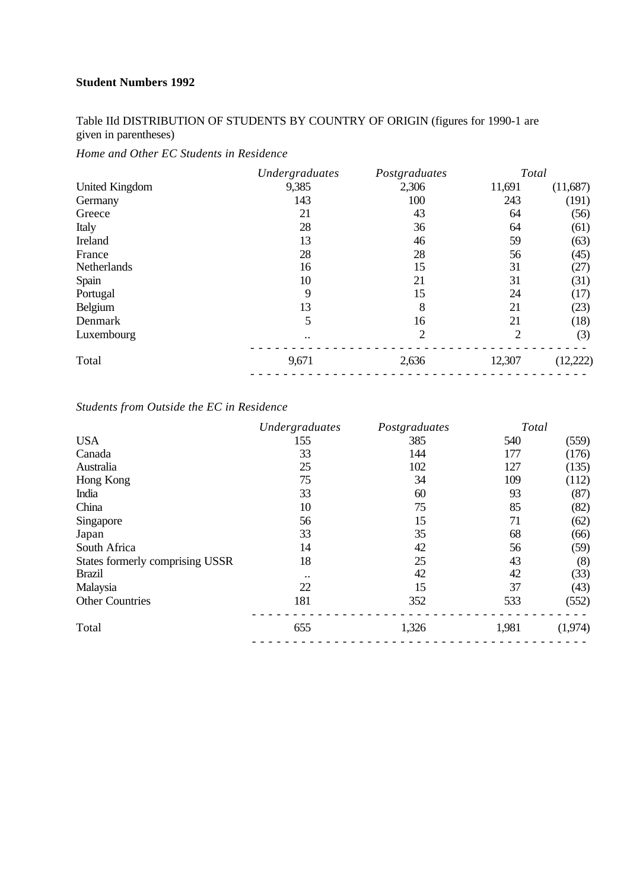# Table IId DISTRIBUTION OF STUDENTS BY COUNTRY OF ORIGIN (figures for 1990-1 are given in parentheses)

*Home and Other EC Students in Residence*

|                       | Undergraduates | Postgraduates  | Total          |          |
|-----------------------|----------------|----------------|----------------|----------|
| <b>United Kingdom</b> | 9,385          | 2,306          | 11,691         | (11,687) |
| Germany               | 143            | 100            | 243            | (191)    |
| Greece                | 21             | 43             | 64             | (56)     |
| Italy                 | 28             | 36             | 64             | (61)     |
| Ireland               | 13             | 46             | 59             | (63)     |
| France                | 28             | 28             | 56             | (45)     |
| Netherlands           | 16             | 15             | 31             | (27)     |
| Spain                 | 10             | 21             | 31             | (31)     |
| Portugal              | 9              | 15             | 24             | (17)     |
| Belgium               | 13             | 8              | 21             | (23)     |
| Denmark               | 5              | 16             | 21             | (18)     |
| Luxembourg            | $\ddotsc$      | $\overline{2}$ | $\overline{2}$ | (3)      |
| Total                 | 9,671          | 2,636          | 12,307         | (12,222) |
|                       |                |                |                |          |

## *Students from Outside the EC in Residence*

| 540<br>177<br>127<br>109<br>93<br>85 | (559)<br>(176)<br>(135)<br>(112)<br>(87)<br>(82) |
|--------------------------------------|--------------------------------------------------|
|                                      |                                                  |
|                                      |                                                  |
|                                      |                                                  |
|                                      |                                                  |
|                                      |                                                  |
|                                      |                                                  |
|                                      | (62)                                             |
| 68                                   | (66)                                             |
| 56                                   | (59)                                             |
| 43                                   | (8)                                              |
| 42                                   | (33)                                             |
| 37                                   | (43)                                             |
| 533                                  | (552)                                            |
| (1,974)<br>1,981                     |                                                  |
|                                      | 71                                               |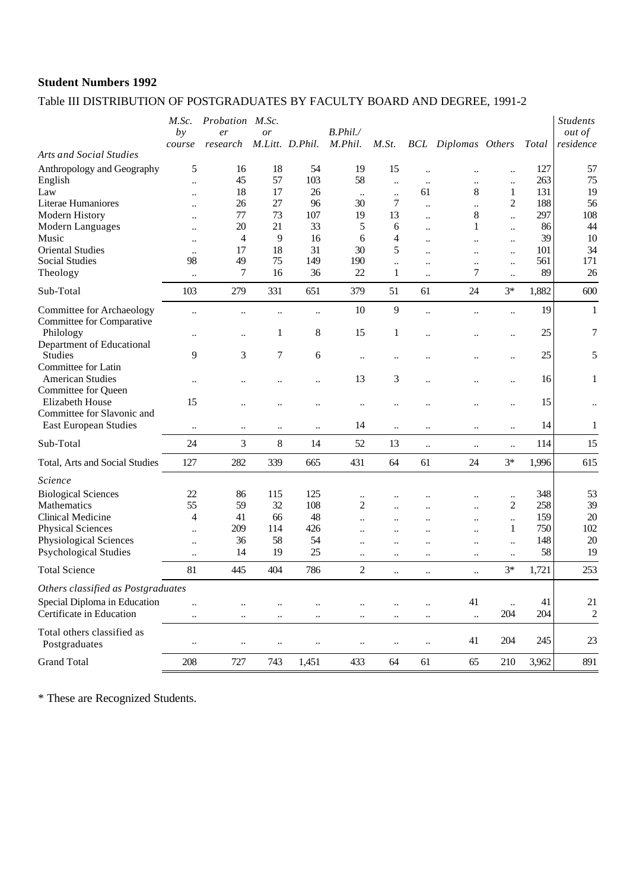# Table III DISTRIBUTION OF POSTGRADUATES BY FACULTY BOARD AND DEGREE, 1991-2

|                                                     | M.Sc.<br>by               | Probation M.Sc.<br>er | or                   |                      | B. Phil.             |                            |                                   |                            |                        |            | <b>Students</b><br><i>out of</i><br>residence |
|-----------------------------------------------------|---------------------------|-----------------------|----------------------|----------------------|----------------------|----------------------------|-----------------------------------|----------------------------|------------------------|------------|-----------------------------------------------|
| <b>Arts and Social Studies</b>                      | course                    | research              |                      | M.Litt. D.Phil.      | M.Phil.              | M.St.                      |                                   | <b>BCL</b> Diplomas Others |                        | Total      |                                               |
| Anthropology and Geography<br>English               | 5<br>$\ddot{\phantom{a}}$ | 16<br>45              | 18<br>57             | 54<br>103            | 19<br>58             | 15<br>$\ddot{\phantom{a}}$ | $\ddot{\phantom{a}}$<br>$\ddotsc$ | <br>                       | <br>$\ddotsc$          | 127<br>263 | 57<br>75                                      |
| Law                                                 |                           | 18                    | 17                   | 26                   | $\ddotsc$            | $\ddot{\phantom{0}}$       | 61                                | 8                          | 1                      | 131        | 19                                            |
| Literae Humaniores                                  |                           | 26                    | 27                   | 96                   | 30                   | 7                          |                                   |                            | 2                      | 188        | 56                                            |
| Modern History                                      |                           | 77<br>20              | 73<br>21             | 107<br>33            | 19<br>5              | 13                         | $\ddot{\phantom{a}}$              | 8                          | $\ddot{\phantom{a}}$   | 297<br>86  | 108                                           |
| Modern Languages<br>Music                           | $\ddotsc$                 | $\overline{4}$        | 9                    | 16                   | 6                    | 6<br>4                     | $\ddot{\phantom{a}}$              | 1                          | $\ddot{\phantom{a}}$   | 39         | 44<br>10                                      |
| <b>Oriental Studies</b>                             | $\ddotsc$                 | 17                    | 18                   | 31                   | 30                   | 5                          | $\ddotsc$                         |                            | $\ddot{\phantom{a}}$   | 101        | 34                                            |
| <b>Social Studies</b>                               | 98                        | 49                    | 75                   | 149                  | 190                  | $\ddot{\phantom{a}}$       | $\ddotsc$<br>                     | <br>                       | $\ddotsc$<br>$\ddotsc$ | 561        | 171                                           |
| Theology                                            | $\ldots$                  | 7                     | 16                   | 36                   | 22                   | 1                          | $\ddotsc$                         | 7                          | $\ddot{\phantom{a}}$   | 89         | 26                                            |
| Sub-Total                                           | 103                       | 279                   | 331                  | 651                  | 379                  | 51                         | 61                                | 24                         | $3*$                   | 1,882      | 600                                           |
| Committee for Archaeology                           |                           |                       |                      | $\ddot{\phantom{0}}$ | 10                   | 9                          | $\ddotsc$                         |                            | $\ddot{\phantom{a}}$   | 19         | $\mathbf{1}$                                  |
| Committee for Comparative<br>Philology              |                           |                       | 1                    | 8                    | 15                   | 1                          |                                   |                            | $\ddot{\phantom{0}}$   | 25         | 7                                             |
| Department of Educational<br><b>Studies</b>         | 9                         | 3                     | 7                    | 6                    | $\ldots$             |                            |                                   |                            | $\ddot{\phantom{a}}$   | 25         | 5                                             |
| Committee for Latin<br><b>American Studies</b>      | $\ddotsc$                 |                       |                      | $\ddot{\phantom{a}}$ | 13                   | 3                          |                                   |                            | $\ddot{\phantom{a}}$   | 16         | 1                                             |
| Committee for Queen<br>Elizabeth House              | 15                        |                       |                      |                      | $\ddotsc$            |                            |                                   |                            | $\ddotsc$              | 15         | $\ddotsc$                                     |
| Committee for Slavonic and<br>East European Studies | $\ddotsc$                 | $\ddotsc$             | $\ddotsc$            | $\ddot{\phantom{0}}$ | 14                   | $\ddot{\phantom{a}}$       | $\ddotsc$                         | $\ddotsc$                  | $\ddot{\phantom{a}}$   | 14         | $\mathbf{1}$                                  |
| Sub-Total                                           | 24                        | 3                     | 8                    | 14                   | 52                   | 13                         |                                   | $\ddotsc$                  | $\ddotsc$              | 114        | 15                                            |
| Total, Arts and Social Studies                      | 127                       | 282                   | 339                  | 665                  | 431                  | 64                         | 61                                | 24                         | $3*$                   | 1,996      | 615                                           |
| Science                                             |                           |                       |                      |                      |                      |                            |                                   |                            |                        |            |                                               |
| <b>Biological Sciences</b>                          | 22                        | 86                    | 115                  | 125                  | $\ddotsc$            |                            |                                   |                            | $\ddotsc$              | 348        | 53                                            |
| Mathematics                                         | 55                        | 59                    | 32                   | 108                  | 2                    | $\ddotsc$                  |                                   |                            | 2                      | 258        | 39                                            |
| Clinical Medicine                                   | 4                         | 41                    | 66                   | 48                   | $\ddot{\phantom{a}}$ | $\ddotsc$                  |                                   |                            | $\ddot{\phantom{a}}$   | 159        | 20                                            |
| <b>Physical Sciences</b>                            | $\ldots$                  | 209                   | 114                  | 426                  | $\ddot{\phantom{a}}$ | $\ddotsc$                  |                                   | $\ddot{\phantom{0}}$       | 1                      | 750        | 102                                           |
| Physiological Sciences                              | $\ddot{\phantom{0}}$      | 36                    | 58                   | 54                   |                      | $\ddotsc$                  |                                   |                            | $\ddot{\phantom{a}}$   | 148        | 20                                            |
| <b>Psychological Studies</b>                        | $\ldots$                  | 14                    | 19                   | 25                   | $\ddotsc$            | $\ddotsc$                  | $\ddotsc$                         |                            | $\ddot{\phantom{a}}$   | 58         | 19                                            |
| <b>Total Science</b>                                | 81                        | 445                   | 404                  | 786                  | $\overline{c}$       | $\ddotsc$                  | $\ddotsc$                         | $\ddotsc$                  | $3*$                   | 1,721      | 253                                           |
| Others classified as Postgraduates                  |                           |                       |                      |                      |                      |                            |                                   |                            |                        |            |                                               |
| Special Diploma in Education                        | $\ddot{\phantom{a}}$      |                       |                      |                      | $\ddotsc$            |                            |                                   | 41                         | $\ddotsc$              | 41         | 21                                            |
| Certificate in Education                            | $\ddotsc$                 | $\ddotsc$             | $\ldots$             | $\ddotsc$            | $\ddotsc$            | $\ddotsc$                  | $\ddotsc$                         | $\ddotsc$                  | 204                    | 204        | $\overline{c}$                                |
| Total others classified as<br>Postgraduates         | $\ddotsc$                 | $\ddot{\phantom{0}}$  | $\ddot{\phantom{a}}$ |                      | $\ddotsc$            | $\ddot{\phantom{a}}$       | $\ldots$                          | 41                         | 204                    | 245        | 23                                            |
|                                                     |                           |                       |                      |                      |                      |                            |                                   |                            |                        |            |                                               |
| <b>Grand Total</b>                                  | 208                       | 727                   | 743                  | 1,451                | 433                  | 64                         | 61                                | 65                         | 210                    | 3,962      | 891                                           |

\* These are Recognized Students.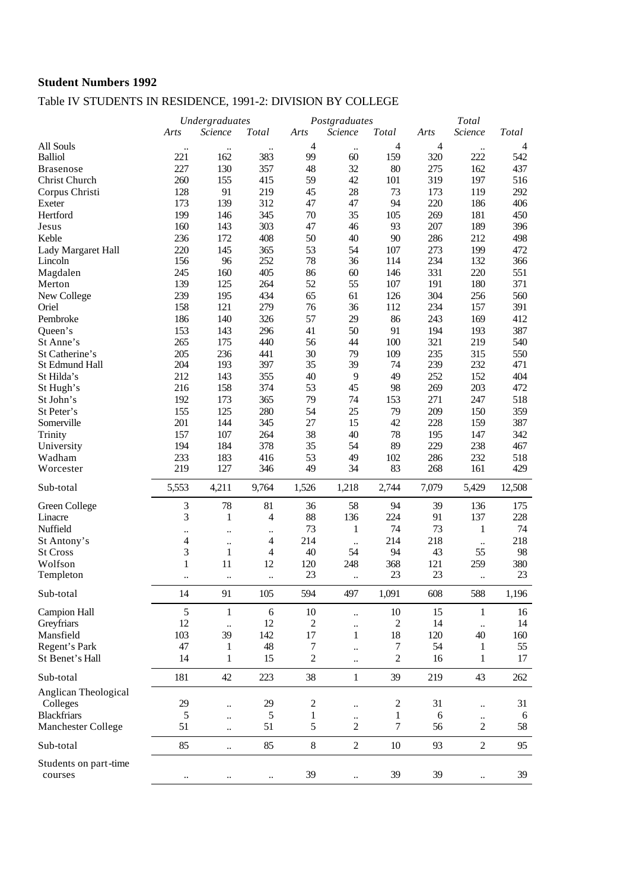# Table IV STUDENTS IN RESIDENCE, 1991-2: DIVISION BY COLLEGE

|                       |                          | Undergraduates           |                |                | Postgraduates               |                          |            | Total                |                |
|-----------------------|--------------------------|--------------------------|----------------|----------------|-----------------------------|--------------------------|------------|----------------------|----------------|
|                       | Arts                     | Science                  | Total          | Arts           | Science                     | Total                    | Arts       | Science              | Total          |
| All Souls             | $\ddot{\phantom{0}}$     | $\ddotsc$                | $\ddotsc$      | $\overline{4}$ | $\ddotsc$                   | $\overline{\mathcal{L}}$ | 4          |                      | $\overline{4}$ |
| <b>Balliol</b>        | 221                      | 162                      | 383            | 99             | 60                          | 159                      | 320        | $\ddotsc$<br>222     | 542            |
| <b>Brasenose</b>      | 227                      | 130                      | 357            | 48             | 32                          | $80\,$                   | 275        | 162                  | 437            |
| Christ Church         | 260                      | 155                      | 415            | 59             | 42                          | 101                      | 319        | 197                  | 516            |
| Corpus Christi        | 128                      | 91                       | 219            | 45             | 28                          | 73                       | 173        | 119                  | 292            |
| Exeter                | 173                      | 139                      | 312            | 47             | 47                          | 94                       | 220        | 186                  | 406            |
| Hertford              | 199                      | 146                      | 345            | $70\,$         | 35                          | 105                      | 269        | 181                  | 450            |
| Jesus                 | 160                      | 143                      | 303            | 47             | 46                          | 93                       | 207        | 189                  | 396            |
| Keble                 | 236                      | 172                      | 408            | 50             | 40                          | 90                       | 286        | 212                  | 498            |
| Lady Margaret Hall    | 220                      | 145                      | 365            | 53             | 54                          | 107                      | 273        | 199                  | 472            |
| Lincoln               | 156                      | 96                       | 252            | 78             | 36                          | 114                      | 234        | 132                  | 366            |
| Magdalen              | 245                      | 160                      | 405            | 86             | 60                          | 146                      | 331        | 220                  | 551            |
| Merton                | 139                      | 125                      | 264            | 52             | 55                          | 107                      | 191        | 180                  | 371            |
| New College           | 239                      | 195                      | 434            | 65             | 61                          | 126                      | 304        | 256                  | 560            |
| Oriel                 | 158                      | 121                      | 279            | 76             | 36                          | 112                      | 234        | 157                  | 391            |
| Pembroke              | 186                      | 140                      | 326            | 57             | 29                          | 86                       | 243        | 169                  | 412            |
| Queen's               | 153                      | 143                      | 296            | 41             | 50                          | 91                       | 194        | 193                  | 387            |
| St Anne's             | 265                      | 175                      | 440            | 56             | 44                          | 100                      | 321        | 219                  | 540            |
| St Catherine's        | 205                      | 236                      | 441            | 30             | 79                          | 109                      | 235        | 315                  | 550            |
| St Edmund Hall        | 204                      | 193                      | 397            | 35             | 39                          | 74                       | 239        | 232                  | 471            |
| St Hilda's            | 212                      | 143                      | 355            | 40             | 9                           | 49                       | 252        | 152                  | 404            |
| St Hugh's             | 216                      | 158                      | 374            | 53             | 45                          | 98                       | 269        | 203                  | 472            |
| St John's             | 192                      | 173                      | 365            | 79             | 74                          | 153                      | 271        | 247                  | 518            |
| St Peter's            | 155                      | 125                      | 280            | 54             | 25                          | 79                       | 209        | 150                  | 359            |
| Somerville            | 201                      | 144                      | 345            | 27             | 15                          | 42                       | 228        | 159                  | 387            |
| Trinity               | 157                      | 107                      | 264            | 38             | 40                          | 78                       | 195        | 147                  | 342            |
| University            | 194                      | 184                      | 378            | 35             | 54                          | 89                       | 229        | 238                  | 467            |
| Wadham                | 233                      | 183                      | 416            | 53             | 49                          | 102                      | 286        | 232                  | 518            |
| Worcester             | 219                      | 127                      | 346            | 49             | 34                          | 83                       | 268        | 161                  | 429            |
|                       |                          |                          |                |                |                             |                          |            |                      |                |
| Sub-total             | 5,553                    | 4,211                    | 9,764          | 1,526          | 1,218                       | 2,744                    | 7,079      | 5,429                | 12,508         |
| Green College         | 3                        | 78                       | 81             | 36             | 58                          | 94                       | 39         | 136                  | 175            |
| Linacre               | 3                        | $\mathbf{1}$             | $\overline{4}$ | 88             | 136                         | 224                      | 91         | 137                  | 228            |
| Nuffield              |                          |                          | $\ddotsc$      | 73             | $\mathbf 1$                 | 74                       | 73         | $\mathbf{1}$         | 74             |
| St Antony's           | $\overline{\mathcal{L}}$ |                          | 4              | 214            | $\ddotsc$                   | 214                      | 218        | $\ddotsc$            | 218            |
| <b>St Cross</b>       | 3                        | $\mathbf{1}$             | $\overline{4}$ | 40             | 54                          | 94                       | 43         | 55                   | 98             |
| Wolfson               | $\mathbf{1}$             | 11                       | 12             | 120            | 248                         | 368                      | 121        | 259                  | 380            |
| Templeton             | $\ddotsc$                |                          | $\ldots$       | 23             | $\ldots$                    | 23                       | 23         | $\ddotsc$            | 23             |
| Sub-total             | 14                       | 91                       | 105            | 594            | 497                         | 1,091                    | 608        | 588                  | 1,196          |
| <b>Campion Hall</b>   | 5                        | $\mathbf{1}$             | 6              | 10             | $\ddot{\phantom{a}}$        | 10                       | 15         | $\mathbf{1}$         | 16             |
| Greyfriars            | 12                       |                          | 12             | $\overline{c}$ | $\ddotsc$                   | $\overline{c}$           | 14         | $\ddot{\phantom{a}}$ | 14             |
| Mansfield             | 103                      | 39                       | 142            | 17             | 1                           | 18                       | 120        | 40                   | 160            |
| Regent's Park         | 47                       | 1                        | 48             | $\tau$         | $\ddot{\phantom{0}}$        | 7                        | 54         | 1                    | 55             |
| St Benet's Hall       | 14                       | $\mathbf{1}$             | 15             | $\overline{c}$ | $\ddotsc$                   | 2                        | 16         | $\mathbf{1}$         | 17             |
| Sub-total             | 181                      | 42                       | 223            | 38             | $\mathbf{1}$                | 39                       | 219        | 43                   | 262            |
| Anglican Theological  |                          |                          |                |                |                             |                          |            |                      |                |
| Colleges              | 29                       |                          | 29             | $\overline{c}$ |                             | 2                        | 31         |                      | 31             |
| <b>Blackfriars</b>    | 5                        | $\ddot{\phantom{0}}$     | 5              | 1              | $\ddot{\phantom{a}}$        | 1                        | $\sqrt{6}$ | $\ddotsc$            | 6              |
| Manchester College    | 51                       | <br>$\ddot{\phantom{0}}$ | 51             | 5              | $\ddotsc$<br>$\overline{c}$ | $\tau$                   | 56         | $\mathbf{2}$         | 58             |
| Sub-total             | 85                       |                          | 85             | $\,8\,$        | $\overline{c}$              | 10                       | 93         | $\mathbf{2}$         | 95             |
|                       |                          |                          |                |                |                             |                          |            |                      |                |
| Students on part-time |                          |                          |                | 39             |                             | 39                       | 39         |                      | 39             |
| courses               | $\ddotsc$                |                          | $\ddotsc$      |                | $\ddotsc$                   |                          |            | $\ddotsc$            |                |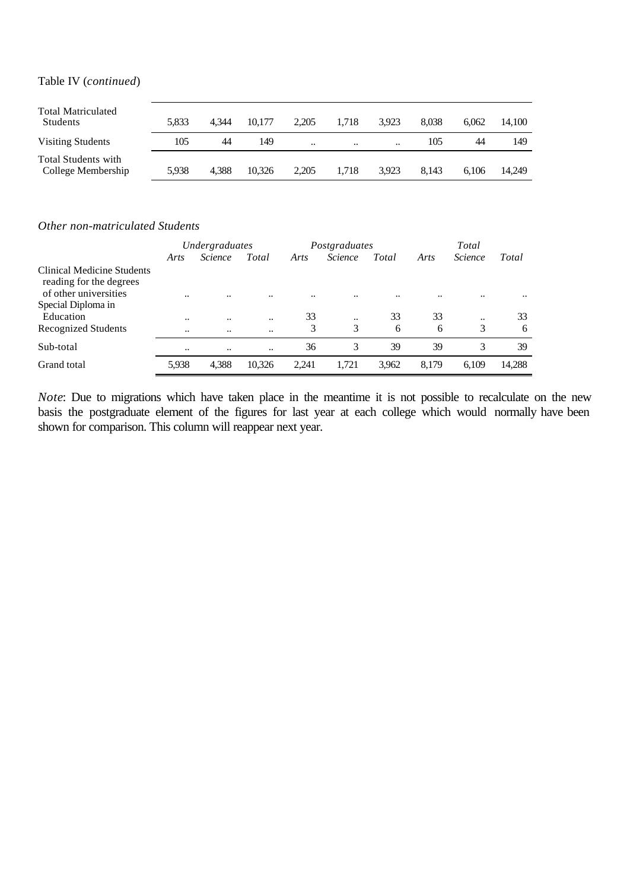#### Table IV (*continued*)

| <b>Total Matriculated</b><br><b>Students</b> | 5.833 | 4.344 | 10.177 | 2.205                | 1.718                | 3.923     | 8.038 | 6.062 | 14.100 |
|----------------------------------------------|-------|-------|--------|----------------------|----------------------|-----------|-------|-------|--------|
| Visiting Students                            | 105   | 44    | 149    | $\ddot{\phantom{0}}$ | $\ddot{\phantom{0}}$ | $\ddotsc$ | 105   | 44    | 149    |
| Total Students with<br>College Membership    | 5,938 | 4.388 | 10.326 | 2,205                | 1.718                | 3.923     | 8.143 | 6.106 | 14.249 |

#### *Other non-matriculated Students*

|                                                                                | <i>Undergraduates</i> |                      |        |                      | Postgraduates  |       | Total |                |           |  |
|--------------------------------------------------------------------------------|-----------------------|----------------------|--------|----------------------|----------------|-------|-------|----------------|-----------|--|
|                                                                                | Arts                  | <i>Science</i>       | Total  | Arts                 | <i>Science</i> | Total | Arts  | <i>Science</i> | Total     |  |
| Clinical Medicine Students<br>reading for the degrees<br>of other universities |                       |                      |        |                      |                |       |       |                |           |  |
| Special Diploma in                                                             | $\ddot{\phantom{0}}$  | $\ddot{\phantom{0}}$ |        | $\ddot{\phantom{0}}$ |                |       |       |                | $\ddotsc$ |  |
| Education                                                                      | $\ddot{\phantom{0}}$  |                      |        | 33                   | $\ddotsc$      | 33    | 33    |                | 33        |  |
| Recognized Students                                                            | $\ddot{\phantom{0}}$  |                      |        | 3                    | 3              | 6     | 6     | 3              | 6         |  |
| Sub-total                                                                      | $\ddotsc$             | $\ddot{\phantom{0}}$ |        | 36                   | 3              | 39    | 39    | 3              | 39        |  |
| Grand total                                                                    | 5,938                 | 4,388                | 10,326 | 2.241                | 1.721          | 3,962 | 8,179 | 6.109          | 14,288    |  |

*Note*: Due to migrations which have taken place in the meantime it is not possible to recalculate on the new basis the postgraduate element of the figures for last year at each college which would normally have been shown for comparison. This column will reappear next year.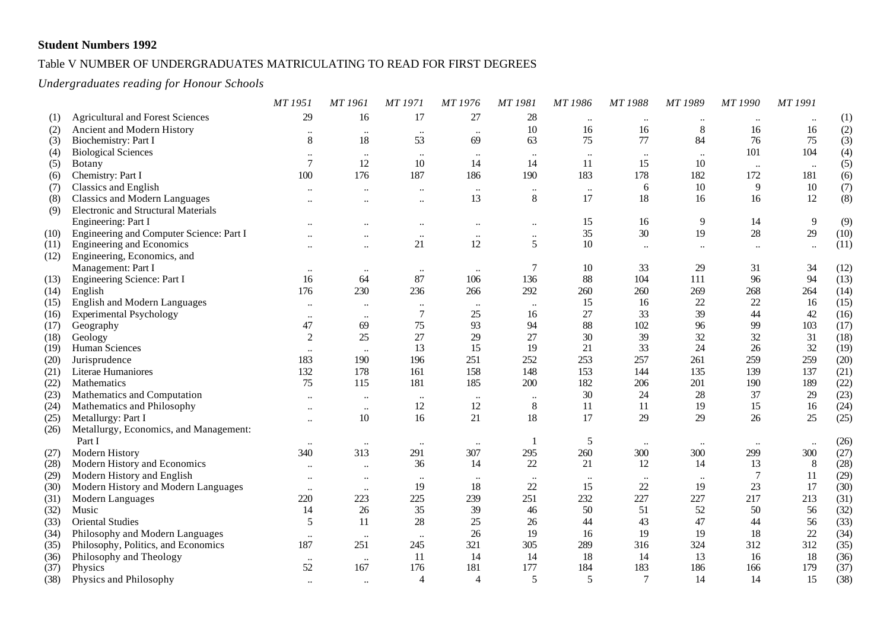#### Table V NUMBER OF UNDERGRADUATES MATRICULATING TO READ FOR FIRST DEGREES

#### *Undergraduates reading for Honour Schools*

|      |                                            | MT 1951                   | <b>MT</b> 1961       | <b>MT1971</b>        | MT 1976        | MT 1981      | MT 1986   | MT 1988         | MT 1989   | MT 1990        | MT 1991        |      |
|------|--------------------------------------------|---------------------------|----------------------|----------------------|----------------|--------------|-----------|-----------------|-----------|----------------|----------------|------|
| (1)  | <b>Agricultural and Forest Sciences</b>    | 29                        | 16                   | 17                   | 27             | $28\,$       | $\ddotsc$ | $\cdot\cdot$    |           | $\ddotsc$      | $\ddotsc$      | (1)  |
| (2)  | Ancient and Modern History                 | $\ddot{\phantom{0}}$      | $\ddotsc$            | $\ddotsc$            | $\ddotsc$      | 10           | 16        | 16              | $\,8\,$   | 16             | 16             | (2)  |
| (3)  | Biochemistry: Part I                       | $\,8\,$                   | 18                   | 53                   | 69             | 63           | 75        | 77              | 84        | 76             | 75             | (3)  |
| (4)  | <b>Biological Sciences</b>                 | $\ddot{\phantom{0}}\cdot$ | $\ddotsc$            | $\ddotsc$            | $\ddotsc$      | $\ldots$     | $\ldots$  | $\ddotsc$       | $\ddotsc$ | 101            | 104            | (4)  |
| (5)  | <b>Botany</b>                              | $\tau$                    | 12                   | 10                   | 14             | 14           | 11        | 15              | 10        | $\ddotsc$      | $\ddotsc$      | (5)  |
| (6)  | Chemistry: Part I                          | 100                       | 176                  | 187                  | 186            | 190          | 183       | 178             | 182       | 172            | 181            | (6)  |
| (7)  | Classics and English                       | $\ddotsc$                 | $\ddot{\phantom{a}}$ | $\ddotsc$            | $\ddots$       | $\ldots$     | $\ldots$  | 6               | 10        | 9              | $10\,$         | (7)  |
| (8)  | <b>Classics and Modern Languages</b>       | $\ddot{\phantom{0}}$      | $\ddot{\phantom{0}}$ | $\ddot{\phantom{0}}$ | 13             | $8\,$        | 17        | 18              | 16        | 16             | 12             | (8)  |
| (9)  | <b>Electronic and Structural Materials</b> |                           |                      |                      |                |              |           |                 |           |                |                |      |
|      | Engineering: Part I                        |                           |                      | $\ddotsc$            | $\ddotsc$      | $\ddotsc$    | 15        | 16              | 9         | 14             | $\overline{9}$ | (9)  |
| (10) | Engineering and Computer Science: Part I   |                           |                      | $\ddot{\phantom{a}}$ | $\ddotsc$      | $\ddotsc$    | 35        | 30              | 19        | 28             | 29             | (10) |
| (11) | <b>Engineering and Economics</b>           |                           | $\ddotsc$            | 21                   | 12             | 5            | 10        | $\ddotsc$       | $\ddotsc$ | $\ddotsc$      | $\ddotsc$      | (11) |
| (12) | Engineering, Economics, and                |                           |                      |                      |                |              |           |                 |           |                |                |      |
|      | Management: Part I                         | $\cdot\cdot$              | $\cdot\cdot$         | $\cdot\cdot$         | $\cdot\cdot$   | 7            | $10\,$    | 33              | 29        | 31             | 34             | (12) |
| (13) | Engineering Science: Part I                | 16                        | 64                   | 87                   | 106            | 136          | 88        | 104             | 111       | 96             | 94             | (13) |
| (14) | English                                    | 176                       | 230                  | 236                  | 266            | 292          | 260       | 260             | 269       | 268            | 264            | (14) |
| (15) | English and Modern Languages               | $\ddotsc$                 | $\ddot{\phantom{a}}$ | $\ldots$             | $\ddotsc$      | $\ldots$     | 15        | 16              | 22        | 22             | 16             | (15) |
| (16) | <b>Experimental Psychology</b>             | $\cdot \cdot$             | $\ddotsc$            | $\boldsymbol{7}$     | 25             | 16           | 27        | 33              | 39        | 44             | $42\,$         | (16) |
| (17) | Geography                                  | 47                        | 69                   | 75                   | 93             | 94           | 88        | 102             | 96        | 99             | 103            | (17) |
| (18) | Geology                                    | $\overline{2}$            | 25                   | 27                   | 29             | 27           | 30        | 39              | 32        | 32             | 31             | (18) |
| (19) | Human Sciences                             |                           |                      | 13                   | 15             | 19           | 21        | 33              | 24        | 26             | 32             | (19) |
| (20) | Jurisprudence                              | 183                       | 190                  | 196                  | 251            | 252          | 253       | 257             | 261       | 259            | 259            | (20) |
| (21) | Literae Humaniores                         | 132                       | 178                  | 161                  | 158            | 148          | 153       | 144             | 135       | 139            | 137            | (21) |
| (22) | Mathematics                                | 75                        | 115                  | 181                  | 185            | 200          | 182       | 206             | 201       | 190            | 189            | (22) |
| (23) | Mathematics and Computation                | $\ddotsc$                 | $\ddotsc$            | $\ddotsc$            | $\ddotsc$      | $\ldots$     | 30        | 24              | 28        | 37             | 29             | (23) |
| (24) | Mathematics and Philosophy                 |                           | $\ddot{\phantom{0}}$ | 12                   | 12             | $8\,$        | 11        | 11              | 19        | 15             | 16             | (24) |
| (25) | Metallurgy: Part I                         | $\ddot{\phantom{a}}$      | 10                   | 16                   | 21             | 18           | 17        | 29              | 29        | 26             | 25             | (25) |
| (26) | Metallurgy, Economics, and Management:     |                           |                      |                      |                |              |           |                 |           |                |                |      |
|      | Part I                                     | $\ldots$                  | $\ddotsc$            | $\ddotsc$            | $\ldots$       | $\mathbf{1}$ | 5         | $\ddots$        | $\ldots$  | $\ddotsc$      | $\ddotsc$      | (26) |
| (27) | Modern History                             | 340                       | 313                  | 291                  | 307            | 295          | 260       | 300             | 300       | 299            | 300            | (27) |
| (28) | Modern History and Economics               | $\ddotsc$                 | $\ddotsc$            | 36                   | 14             | 22           | 21        | 12              | 14        | 13             | 8              | (28) |
| (29) | Modern History and English                 | $\ddot{\phantom{0}}$      | $\ddotsc$            | $\ldots$             | $\ddotsc$      | $\ddotsc$    | $\cdots$  | $\ldots$        | $\ldots$  | $\overline{7}$ | 11             | (29) |
| (30) | Modern History and Modern Languages        | $\ddotsc$                 | $\ddotsc$            | 19                   | 18             | 22           | 15        | 22              | 19        | 23             | 17             | (30) |
| (31) | Modern Languages                           | 220                       | 223                  | 225                  | 239            | 251          | 232       | 227             | 227       | 217            | 213            | (31) |
| (32) | Music                                      | 14                        | 26                   | 35                   | 39             | 46           | 50        | 51              | 52        | 50             | 56             | (32) |
| (33) | <b>Oriental Studies</b>                    | 5                         | 11                   | 28                   | 25             | 26           | 44        | 43              | 47        | 44             | 56             | (33) |
| (34) | Philosophy and Modern Languages            | $\ddot{\phantom{0}}$      |                      | $\ddotsc$            | 26             | 19           | 16        | 19              | 19        | 18             | 22             | (34) |
| (35) | Philosophy, Politics, and Economics        | 187                       | 251                  | 245                  | 321            | 305          | 289       | 316             | 324       | 312            | 312            | (35) |
| (36) | Philosophy and Theology                    | $\cdot\cdot$              | $\ddots$             | 11                   | 14             | 14           | 18        | 14              | 13        | 16             | 18             | (36) |
| (37) | Physics                                    | 52                        | 167                  | 176                  | 181            | 177          | 184       | 183             | 186       | 166            | 179            | (37) |
| (38) | Physics and Philosophy                     |                           |                      | $\overline{4}$       | $\overline{4}$ | 5            | 5         | $7\phantom{.0}$ | 14        | 14             | 15             | (38) |